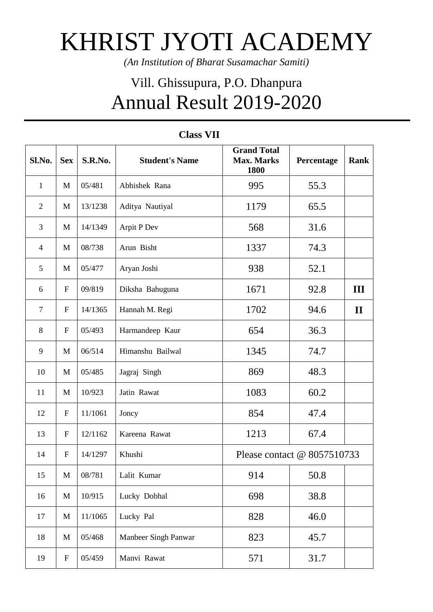## KHRIST JYOTI ACADEMY

*(An Institution of Bharat Susamachar Samiti)*

## Vill. Ghissupura, P.O. Dhanpura Annual Result 2019-2020

| Sl.No.                   | <b>Sex</b>   | S.R.No. | <b>Student's Name</b> | <b>Grand Total</b><br><b>Max. Marks</b><br>1800 | Percentage | <b>Rank</b>  |
|--------------------------|--------------|---------|-----------------------|-------------------------------------------------|------------|--------------|
| $\mathbf{1}$             | M            | 05/481  | Abhishek Rana         | 995                                             | 55.3       |              |
| $\overline{2}$           | M            | 13/1238 | Aditya Nautiyal       | 1179                                            | 65.5       |              |
| 3                        | M            | 14/1349 | Arpit P Dev           | 568                                             | 31.6       |              |
| $\overline{\mathcal{A}}$ | M            | 08/738  | Arun Bisht            | 1337                                            | 74.3       |              |
| 5                        | M            | 05/477  | Aryan Joshi           | 938                                             | 52.1       |              |
| 6                        | $\mathbf{F}$ | 09/819  | Diksha Bahuguna       | 1671                                            | 92.8       | III          |
| $\tau$                   | $\mathbf{F}$ | 14/1365 | Hannah M. Regi        | 1702                                            | 94.6       | $\mathbf{I}$ |
| 8                        | $\mathbf{F}$ | 05/493  | Harmandeep Kaur       | 654                                             | 36.3       |              |
| 9                        | M            | 06/514  | Himanshu Bailwal      | 1345                                            | 74.7       |              |
| 10                       | M            | 05/485  | Jagraj Singh          | 869                                             | 48.3       |              |
| 11                       | M            | 10/923  | Jatin Rawat           | 1083                                            | 60.2       |              |
| 12                       | $\mathbf{F}$ | 11/1061 | Joncy                 | 854                                             | 47.4       |              |
| 13                       | $\mathbf{F}$ | 12/1162 | Kareena Rawat         | 1213                                            | 67.4       |              |
| 14                       | $\mathbf{F}$ | 14/1297 | Khushi                | Please contact @ 8057510733                     |            |              |
| 15                       | M            | 08/781  | Lalit Kumar           | 914                                             | 50.8       |              |
| 16                       | M            | 10/915  | Lucky Dobhal          | 698                                             | 38.8       |              |
| 17                       | M            | 11/1065 | Lucky Pal             | 828                                             | 46.0       |              |
| 18                       | M            | 05/468  | Manbeer Singh Panwar  | 823                                             | 45.7       |              |
| 19                       | $\mathbf{F}$ | 05/459  | Manvi Rawat           | 571                                             | 31.7       |              |

## **Class VII**